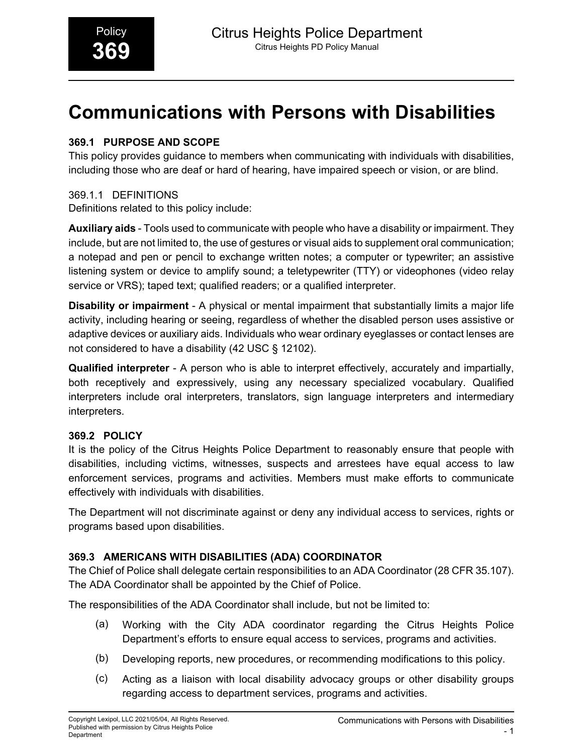# **Communications with Persons with Disabilities**

# **369.1 PURPOSE AND SCOPE**

This policy provides guidance to members when communicating with individuals with disabilities, including those who are deaf or hard of hearing, have impaired speech or vision, or are blind.

# 369.1.1 DEFINITIONS

Definitions related to this policy include:

**Auxiliary aids** - Tools used to communicate with people who have a disability or impairment. They include, but are not limited to, the use of gestures or visual aids to supplement oral communication; a notepad and pen or pencil to exchange written notes; a computer or typewriter; an assistive listening system or device to amplify sound; a teletypewriter (TTY) or videophones (video relay service or VRS); taped text; qualified readers; or a qualified interpreter.

**Disability or impairment** - A physical or mental impairment that substantially limits a major life activity, including hearing or seeing, regardless of whether the disabled person uses assistive or adaptive devices or auxiliary aids. Individuals who wear ordinary eyeglasses or contact lenses are not considered to have a disability (42 USC § 12102).

**Qualified interpreter** - A person who is able to interpret effectively, accurately and impartially, both receptively and expressively, using any necessary specialized vocabulary. Qualified interpreters include oral interpreters, translators, sign language interpreters and intermediary interpreters.

# **369.2 POLICY**

It is the policy of the Citrus Heights Police Department to reasonably ensure that people with disabilities, including victims, witnesses, suspects and arrestees have equal access to law enforcement services, programs and activities. Members must make efforts to communicate effectively with individuals with disabilities.

The Department will not discriminate against or deny any individual access to services, rights or programs based upon disabilities.

# **369.3 AMERICANS WITH DISABILITIES (ADA) COORDINATOR**

The Chief of Police shall delegate certain responsibilities to an ADA Coordinator (28 CFR 35.107). The ADA Coordinator shall be appointed by the Chief of Police.

The responsibilities of the ADA Coordinator shall include, but not be limited to:

- (a) Working with the City ADA coordinator regarding the Citrus Heights Police Department's efforts to ensure equal access to services, programs and activities.
- (b) Developing reports, new procedures, or recommending modifications to this policy.
- (c) Acting as a liaison with local disability advocacy groups or other disability groups regarding access to department services, programs and activities.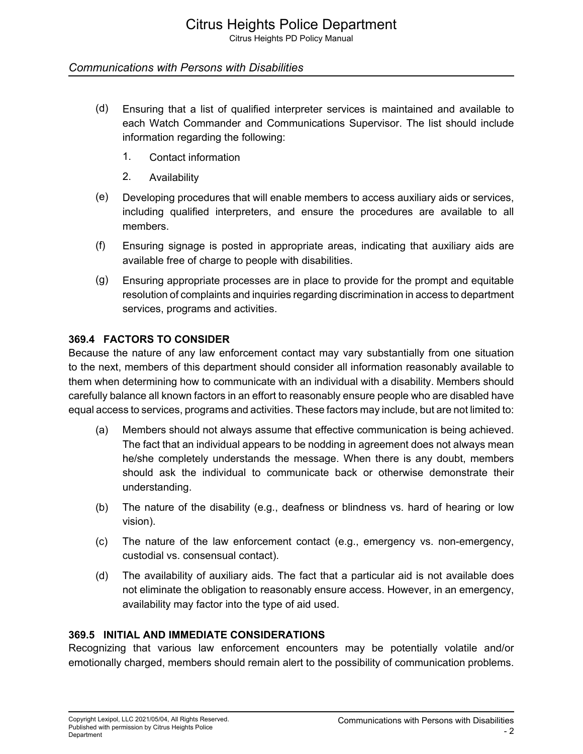Citrus Heights PD Policy Manual

### *Communications with Persons with Disabilities*

- (d) Ensuring that a list of qualified interpreter services is maintained and available to each Watch Commander and Communications Supervisor. The list should include information regarding the following:
	- 1. Contact information
	- 2. Availability
- (e) Developing procedures that will enable members to access auxiliary aids or services, including qualified interpreters, and ensure the procedures are available to all members.
- (f) Ensuring signage is posted in appropriate areas, indicating that auxiliary aids are available free of charge to people with disabilities.
- (g) Ensuring appropriate processes are in place to provide for the prompt and equitable resolution of complaints and inquiries regarding discrimination in access to department services, programs and activities.

### **369.4 FACTORS TO CONSIDER**

Because the nature of any law enforcement contact may vary substantially from one situation to the next, members of this department should consider all information reasonably available to them when determining how to communicate with an individual with a disability. Members should carefully balance all known factors in an effort to reasonably ensure people who are disabled have equal access to services, programs and activities. These factors may include, but are not limited to:

- (a) Members should not always assume that effective communication is being achieved. The fact that an individual appears to be nodding in agreement does not always mean he/she completely understands the message. When there is any doubt, members should ask the individual to communicate back or otherwise demonstrate their understanding.
- (b) The nature of the disability (e.g., deafness or blindness vs. hard of hearing or low vision).
- (c) The nature of the law enforcement contact (e.g., emergency vs. non-emergency, custodial vs. consensual contact).
- (d) The availability of auxiliary aids. The fact that a particular aid is not available does not eliminate the obligation to reasonably ensure access. However, in an emergency, availability may factor into the type of aid used.

# **369.5 INITIAL AND IMMEDIATE CONSIDERATIONS**

Recognizing that various law enforcement encounters may be potentially volatile and/or emotionally charged, members should remain alert to the possibility of communication problems.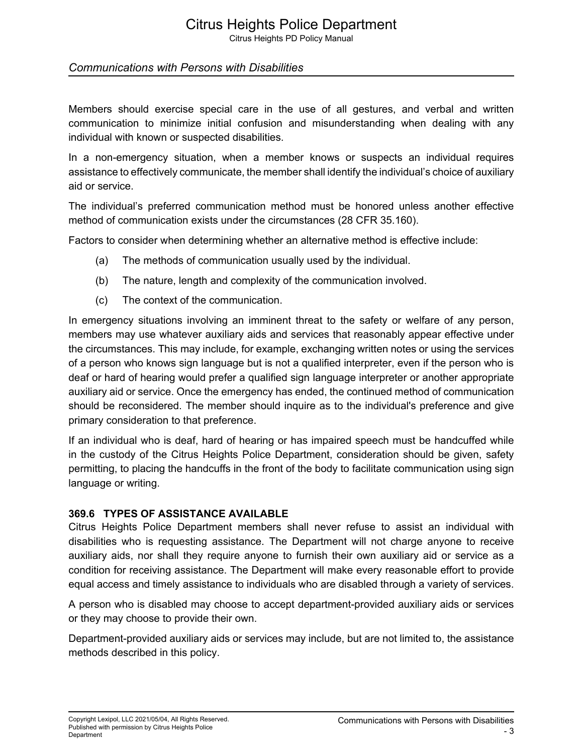Citrus Heights PD Policy Manual

### *Communications with Persons with Disabilities*

Members should exercise special care in the use of all gestures, and verbal and written communication to minimize initial confusion and misunderstanding when dealing with any individual with known or suspected disabilities.

In a non-emergency situation, when a member knows or suspects an individual requires assistance to effectively communicate, the member shall identify the individual's choice of auxiliary aid or service.

The individual's preferred communication method must be honored unless another effective method of communication exists under the circumstances (28 CFR 35.160).

Factors to consider when determining whether an alternative method is effective include:

- (a) The methods of communication usually used by the individual.
- (b) The nature, length and complexity of the communication involved.
- (c) The context of the communication.

In emergency situations involving an imminent threat to the safety or welfare of any person, members may use whatever auxiliary aids and services that reasonably appear effective under the circumstances. This may include, for example, exchanging written notes or using the services of a person who knows sign language but is not a qualified interpreter, even if the person who is deaf or hard of hearing would prefer a qualified sign language interpreter or another appropriate auxiliary aid or service. Once the emergency has ended, the continued method of communication should be reconsidered. The member should inquire as to the individual's preference and give primary consideration to that preference.

If an individual who is deaf, hard of hearing or has impaired speech must be handcuffed while in the custody of the Citrus Heights Police Department, consideration should be given, safety permitting, to placing the handcuffs in the front of the body to facilitate communication using sign language or writing.

#### **369.6 TYPES OF ASSISTANCE AVAILABLE**

Citrus Heights Police Department members shall never refuse to assist an individual with disabilities who is requesting assistance. The Department will not charge anyone to receive auxiliary aids, nor shall they require anyone to furnish their own auxiliary aid or service as a condition for receiving assistance. The Department will make every reasonable effort to provide equal access and timely assistance to individuals who are disabled through a variety of services.

A person who is disabled may choose to accept department-provided auxiliary aids or services or they may choose to provide their own.

Department-provided auxiliary aids or services may include, but are not limited to, the assistance methods described in this policy.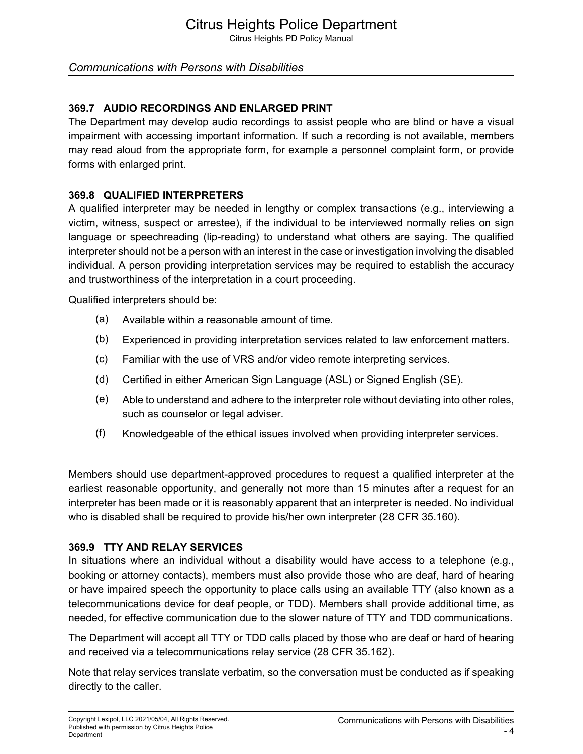Citrus Heights PD Policy Manual

# *Communications with Persons with Disabilities*

# **369.7 AUDIO RECORDINGS AND ENLARGED PRINT**

The Department may develop audio recordings to assist people who are blind or have a visual impairment with accessing important information. If such a recording is not available, members may read aloud from the appropriate form, for example a personnel complaint form, or provide forms with enlarged print.

#### **369.8 QUALIFIED INTERPRETERS**

A qualified interpreter may be needed in lengthy or complex transactions (e.g., interviewing a victim, witness, suspect or arrestee), if the individual to be interviewed normally relies on sign language or speechreading (lip-reading) to understand what others are saying. The qualified interpreter should not be a person with an interest in the case or investigation involving the disabled individual. A person providing interpretation services may be required to establish the accuracy and trustworthiness of the interpretation in a court proceeding.

Qualified interpreters should be:

- (a) Available within a reasonable amount of time.
- (b) Experienced in providing interpretation services related to law enforcement matters.
- (c) Familiar with the use of VRS and/or video remote interpreting services.
- (d) Certified in either American Sign Language (ASL) or Signed English (SE).
- (e) Able to understand and adhere to the interpreter role without deviating into other roles, such as counselor or legal adviser.
- (f) Knowledgeable of the ethical issues involved when providing interpreter services.

Members should use department-approved procedures to request a qualified interpreter at the earliest reasonable opportunity, and generally not more than 15 minutes after a request for an interpreter has been made or it is reasonably apparent that an interpreter is needed. No individual who is disabled shall be required to provide his/her own interpreter (28 CFR 35.160).

#### **369.9 TTY AND RELAY SERVICES**

In situations where an individual without a disability would have access to a telephone (e.g., booking or attorney contacts), members must also provide those who are deaf, hard of hearing or have impaired speech the opportunity to place calls using an available TTY (also known as a telecommunications device for deaf people, or TDD). Members shall provide additional time, as needed, for effective communication due to the slower nature of TTY and TDD communications.

The Department will accept all TTY or TDD calls placed by those who are deaf or hard of hearing and received via a telecommunications relay service (28 CFR 35.162).

Note that relay services translate verbatim, so the conversation must be conducted as if speaking directly to the caller.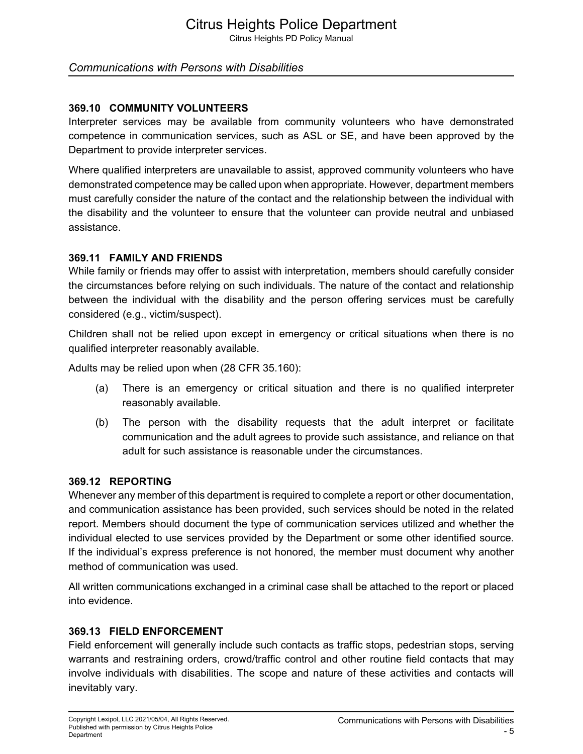Citrus Heights PD Policy Manual

### *Communications with Persons with Disabilities*

#### **369.10 COMMUNITY VOLUNTEERS**

Interpreter services may be available from community volunteers who have demonstrated competence in communication services, such as ASL or SE, and have been approved by the Department to provide interpreter services.

Where qualified interpreters are unavailable to assist, approved community volunteers who have demonstrated competence may be called upon when appropriate. However, department members must carefully consider the nature of the contact and the relationship between the individual with the disability and the volunteer to ensure that the volunteer can provide neutral and unbiased assistance.

#### **369.11 FAMILY AND FRIENDS**

While family or friends may offer to assist with interpretation, members should carefully consider the circumstances before relying on such individuals. The nature of the contact and relationship between the individual with the disability and the person offering services must be carefully considered (e.g., victim/suspect).

Children shall not be relied upon except in emergency or critical situations when there is no qualified interpreter reasonably available.

Adults may be relied upon when (28 CFR 35.160):

- (a) There is an emergency or critical situation and there is no qualified interpreter reasonably available.
- (b) The person with the disability requests that the adult interpret or facilitate communication and the adult agrees to provide such assistance, and reliance on that adult for such assistance is reasonable under the circumstances.

#### **369.12 REPORTING**

Whenever any member of this department is required to complete a report or other documentation, and communication assistance has been provided, such services should be noted in the related report. Members should document the type of communication services utilized and whether the individual elected to use services provided by the Department or some other identified source. If the individual's express preference is not honored, the member must document why another method of communication was used.

All written communications exchanged in a criminal case shall be attached to the report or placed into evidence.

#### **369.13 FIELD ENFORCEMENT**

Field enforcement will generally include such contacts as traffic stops, pedestrian stops, serving warrants and restraining orders, crowd/traffic control and other routine field contacts that may involve individuals with disabilities. The scope and nature of these activities and contacts will inevitably vary.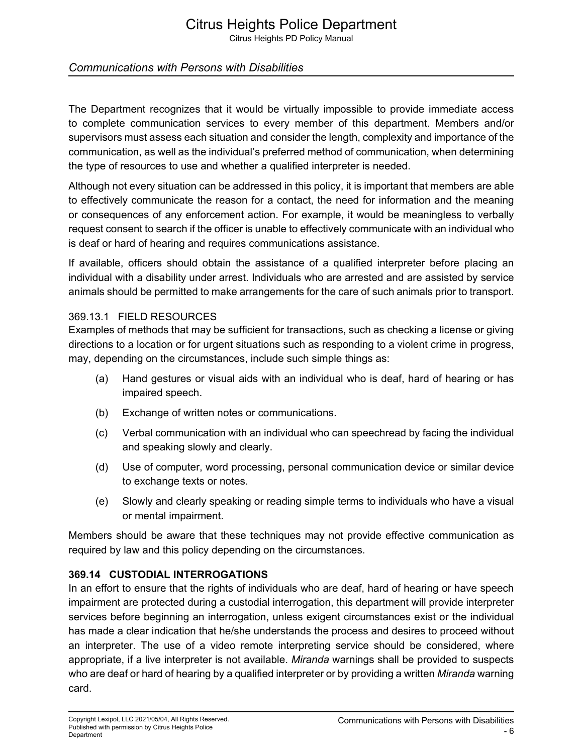Citrus Heights PD Policy Manual

# *Communications with Persons with Disabilities*

The Department recognizes that it would be virtually impossible to provide immediate access to complete communication services to every member of this department. Members and/or supervisors must assess each situation and consider the length, complexity and importance of the communication, as well as the individual's preferred method of communication, when determining the type of resources to use and whether a qualified interpreter is needed.

Although not every situation can be addressed in this policy, it is important that members are able to effectively communicate the reason for a contact, the need for information and the meaning or consequences of any enforcement action. For example, it would be meaningless to verbally request consent to search if the officer is unable to effectively communicate with an individual who is deaf or hard of hearing and requires communications assistance.

If available, officers should obtain the assistance of a qualified interpreter before placing an individual with a disability under arrest. Individuals who are arrested and are assisted by service animals should be permitted to make arrangements for the care of such animals prior to transport.

#### 369.13.1 FIELD RESOURCES

Examples of methods that may be sufficient for transactions, such as checking a license or giving directions to a location or for urgent situations such as responding to a violent crime in progress, may, depending on the circumstances, include such simple things as:

- (a) Hand gestures or visual aids with an individual who is deaf, hard of hearing or has impaired speech.
- (b) Exchange of written notes or communications.
- (c) Verbal communication with an individual who can speechread by facing the individual and speaking slowly and clearly.
- (d) Use of computer, word processing, personal communication device or similar device to exchange texts or notes.
- (e) Slowly and clearly speaking or reading simple terms to individuals who have a visual or mental impairment.

Members should be aware that these techniques may not provide effective communication as required by law and this policy depending on the circumstances.

# **369.14 CUSTODIAL INTERROGATIONS**

In an effort to ensure that the rights of individuals who are deaf, hard of hearing or have speech impairment are protected during a custodial interrogation, this department will provide interpreter services before beginning an interrogation, unless exigent circumstances exist or the individual has made a clear indication that he/she understands the process and desires to proceed without an interpreter. The use of a video remote interpreting service should be considered, where appropriate, if a live interpreter is not available. *Miranda* warnings shall be provided to suspects who are deaf or hard of hearing by a qualified interpreter or by providing a written *Miranda* warning card.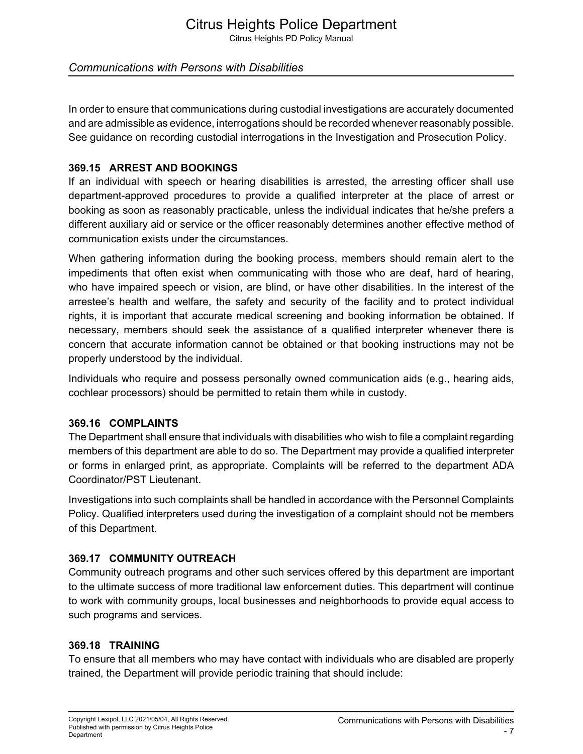Citrus Heights PD Policy Manual

# *Communications with Persons with Disabilities*

In order to ensure that communications during custodial investigations are accurately documented and are admissible as evidence, interrogations should be recorded whenever reasonably possible. See guidance on recording custodial interrogations in the Investigation and Prosecution Policy.

# **369.15 ARREST AND BOOKINGS**

If an individual with speech or hearing disabilities is arrested, the arresting officer shall use department-approved procedures to provide a qualified interpreter at the place of arrest or booking as soon as reasonably practicable, unless the individual indicates that he/she prefers a different auxiliary aid or service or the officer reasonably determines another effective method of communication exists under the circumstances.

When gathering information during the booking process, members should remain alert to the impediments that often exist when communicating with those who are deaf, hard of hearing, who have impaired speech or vision, are blind, or have other disabilities. In the interest of the arrestee's health and welfare, the safety and security of the facility and to protect individual rights, it is important that accurate medical screening and booking information be obtained. If necessary, members should seek the assistance of a qualified interpreter whenever there is concern that accurate information cannot be obtained or that booking instructions may not be properly understood by the individual.

Individuals who require and possess personally owned communication aids (e.g., hearing aids, cochlear processors) should be permitted to retain them while in custody.

#### **369.16 COMPLAINTS**

The Department shall ensure that individuals with disabilities who wish to file a complaint regarding members of this department are able to do so. The Department may provide a qualified interpreter or forms in enlarged print, as appropriate. Complaints will be referred to the department ADA Coordinator/PST Lieutenant.

Investigations into such complaints shall be handled in accordance with the Personnel Complaints Policy. Qualified interpreters used during the investigation of a complaint should not be members of this Department.

# **369.17 COMMUNITY OUTREACH**

Community outreach programs and other such services offered by this department are important to the ultimate success of more traditional law enforcement duties. This department will continue to work with community groups, local businesses and neighborhoods to provide equal access to such programs and services.

# **369.18 TRAINING**

To ensure that all members who may have contact with individuals who are disabled are properly trained, the Department will provide periodic training that should include: